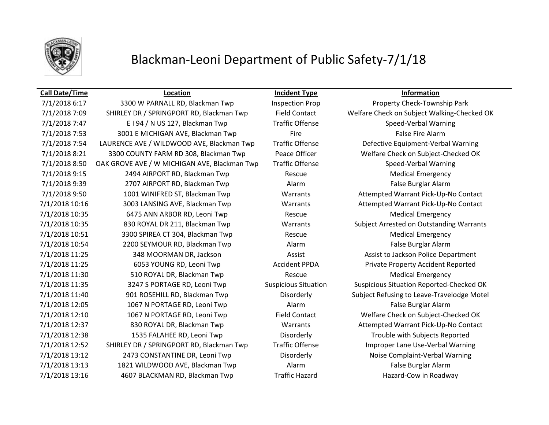

## Blackman-Leoni Department of Public Safety-7/1/18

### **Call Date/Time Location Incident Type Information**

7/1/2018 6:17 3300 W PARNALL RD, Blackman Twp Inspection Prop Property Check-Township Park 7/1/2018 7:09 SHIRLEY DR / SPRINGPORT RD, Blackman Twp Field Contact Welfare Check on Subject Walking-Checked OK 7/1/2018 7:47 E I 94 / N US 127, Blackman Twp Traffic Offense Speed-Verbal Warning 7/1/2018 7:53 3001 E MICHIGAN AVE, Blackman Twp Fire Fire False Fire Alarm 7/1/2018 7:54 LAURENCE AVE / WILDWOOD AVE, Blackman Twp Traffic Offense Defective Equipment-Verbal Warning 7/1/2018 8:21 3300 COUNTY FARM RD 308, Blackman Twp Peace Officer Welfare Check on Subject-Checked OK 7/1/2018 8:50 OAK GROVE AVE / W MICHIGAN AVE, Blackman Twp Traffic Offense Speed-Verbal Warning 7/1/2018 9:15 2494 AIRPORT RD, Blackman Twp Rescue Rescue Medical Emergency 7/1/2018 9:39 2707 AIRPORT RD, Blackman Twp Alarm Alarm False Burglar Alarm 7/1/2018 9:50 1001 WINIFRED ST, Blackman Twp Warrants Attempted Warrant Pick-Up-No Contact 7/1/2018 10:16 3003 LANSING AVE, Blackman Twp Warrants Attempted Warrant Pick-Up-No Contact 7/1/2018 10:35 6475 ANN ARBOR RD, Leoni Twp Rescue Rescue Medical Emergency 7/1/2018 10:35 830 ROYAL DR 211, Blackman Twp Warrants Subject Arrested on Outstanding Warrants 7/1/2018 10:51 3300 SPIREA CT 304, Blackman Twp Rescue Rescue Medical Emergency 7/1/2018 10:54 2200 SEYMOUR RD, Blackman Twp Alarm Alarm False Burglar Alarm 7/1/2018 11:25 348 MOORMAN DR, Jackson Assist Assist Assist to Jackson Police Department 7/1/2018 11:25 6053 YOUNG RD, Leoni Twp Accident PPDA Private Property Accident Reported 7/1/2018 11:30 510 ROYAL DR, Blackman Twp Rescue Rescue Medical Emergency 7/1/2018 11:35 3247 S PORTAGE RD, Leoni Twp Suspicious Situation Suspicious Situation Reported-Checked OK 7/1/2018 11:40 901 ROSEHILL RD, Blackman Twp Disorderly Subject Refusing to Leave-Travelodge Motel 7/1/2018 12:05 1067 N PORTAGE RD, Leoni Twp Alarm Alarm False Burglar Alarm 7/1/2018 12:10 1067 N PORTAGE RD, Leoni Twp Field Contact Welfare Check on Subject-Checked OK 7/1/2018 12:37 830 ROYAL DR, Blackman Twp Warrants Attempted Warrant Pick-Up-No Contact 7/1/2018 12:38 1535 FALAHEE RD, Leoni Twp Disorderly Trouble with Subjects Reported 7/1/2018 12:52 SHIRLEY DR / SPRINGPORT RD, Blackman Twp Traffic Offense Improper Lane Use-Verbal Warning 7/1/2018 13:12 2473 CONSTANTINE DR, Leoni Twp Disorderly Disorderly Noise Complaint-Verbal Warning 7/1/2018 13:13 1821 WILDWOOD AVE, Blackman Twp Alarm Alarm False Burglar Alarm 7/1/2018 13:16 4607 BLACKMAN RD, Blackman Twp Traffic Hazard Hazard-Cow in Roadway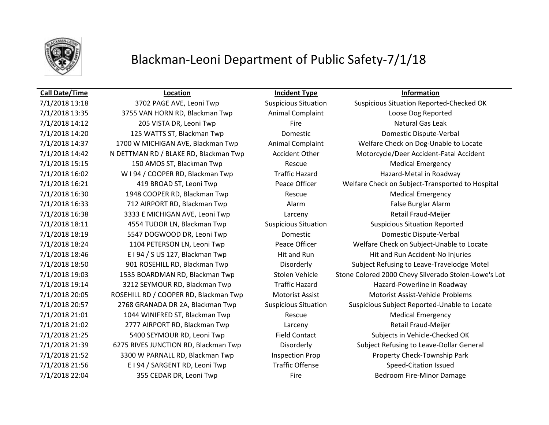

## Blackman-Leoni Department of Public Safety-7/1/18

7/1/2018 13:35 3755 VAN HORN RD, Blackman Twp Animal Complaint Loose Dog Reported 7/1/2018 14:12 205 VISTA DR, Leoni Twp Fire Fire Fire Natural Gas Leak 7/1/2018 14:20 125 WATTS ST, Blackman Twp Domestic Domestic Dispute-Verbal 7/1/2018 15:15 150 AMOS ST, Blackman Twp Rescue Medical Emergency 7/1/2018 16:02 W I 94 / COOPER RD, Blackman Twp Traffic Hazard Hazard Hazard-Metal in Roadway 7/1/2018 16:30 1948 COOPER RD, Blackman Twp Rescue Rescue Medical Emergency 7/1/2018 16:33 712 AIRPORT RD, Blackman Twp Alarm Alarm False Burglar Alarm 7/1/2018 16:38 3333 E MICHIGAN AVE, Leoni Twp Larceny Retail Fraud-Meijer 7/1/2018 18:11 4554 TUDOR LN, Blackman Twp Suspicious Situation Suspicious Situation Reported 7/1/2018 18:19 5547 DOGWOOD DR, Leoni Twp Domestic Domestic Dispute-Verbal 7/1/2018 21:01 1044 WINIFRED ST, Blackman Twp Rescue Rescue Medical Emergency 7/1/2018 21:02 2777 AIRPORT RD, Blackman Twp Larceny Retail Fraud-Meijer 7/1/2018 21:56 E I 94 / SARGENT RD, Leoni Twp Traffic Offense Speed-Citation Issued 7/1/2018 22:04 355 CEDAR DR, Leoni Twp Fire Fire Fire Bedroom Fire-Minor Damage

**Call Date/Time Location Incident Type Information**

7/1/2018 13:18 3702 PAGE AVE, Leoni Twp Suspicious Situation Suspicious Situation Reported-Checked OK 7/1/2018 14:37 1700 W MICHIGAN AVE, Blackman Twp Animal Complaint Welfare Check on Dog-Unable to Locate 7/1/2018 14:42 N DETTMAN RD / BLAKE RD, Blackman Twp Accident Other Motorcycle/Deer Accident-Fatal Accident 7/1/2018 16:21 419 BROAD ST, Leoni Twp Peace Officer Welfare Check on Subject-Transported to Hospital 7/1/2018 18:24 1104 PETERSON LN, Leoni Twp Peace Officer Welfare Check on Subject-Unable to Locate 7/1/2018 18:46 E I 94 / S US 127, Blackman Twp Hit and Run Hit and Run Hit and Run Accident-No Injuries 7/1/2018 18:50 901 ROSEHILL RD, Blackman Twp Disorderly Subject Refusing to Leave-Travelodge Motel 7/1/2018 19:03 1535 BOARDMAN RD, Blackman Twp Stolen Vehicle Stone Colored 2000 Chevy Silverado Stolen-Lowe's Lot 7/1/2018 19:14 3212 SEYMOUR RD, Blackman Twp Traffic Hazard Hazard Hazard-Powerline in Roadway 7/1/2018 20:05 ROSEHILL RD / COOPER RD, Blackman Twp Motorist Assist Motorist Assist-Vehicle Problems 7/1/2018 20:57 2768 GRANADA DR 2A, Blackman Twp Suspicious Situation Suspicious Subject Reported-Unable to Locate 7/1/2018 21:25 5400 SEYMOUR RD, Leoni Twp Field Contact Subjects in Vehicle-Checked OK 7/1/2018 21:39 6275 RIVES JUNCTION RD, Blackman Twp Disorderly Subject Refusing to Leave-Dollar General 7/1/2018 21:52 3300 W PARNALL RD, Blackman Twp Inspection Prop Property Check-Township Park